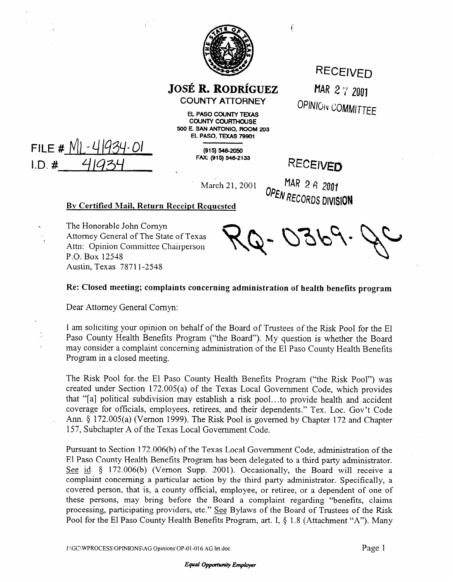

**JOSÉ R. RODRÍGUEZ COUNTY ATTORNEY** 

RECEIVED MAR 2  $\frac{1}{4}$  2001 OPINION COMMITTEE

**EL PASO COUNTY TEXAS COUNTY COURTHOUSE 500 E. SAN ANTONIO, ROOM 203 EL PASO, TEXAS 79901** 

**(915) 546-2050**<br>**FAX: (915) 546-2133** 

RECEIVED

í

March 21, 2001 **OPEN RECORDS DIVISION** 

## **By Certified Mail, Return Receipt Requested**

< The Honorable John Comyn . Attorney General of The State of Texas Attn: Opinion Committee Chairperson P.O. Box 12545 Austin, Texas 78711-2548

## **Re: Closed meeting; complaints concerning administration of health benefits program**

Dear Attorney General Comyn:

FILE #  $N$ | - 4/934-01

 $1.D.$ #

I am soliciting your opinion on behalf of the Board of Trustees of the Risk Pool for the El Paso County Health Benefits Program ("the Board"). My question is whether the Board may consider a complaint concerning administration of the El Paso County Health Benefits Program in a closed meeting.

The Risk Pool for-the El Paso County Health Benefits Program ("the Risk Pool") was created under Section 172.005(a) of the Texas Local Government Code, which provides that "[a] political subdivision may establish a risk pool.. . to provide health and accident coverage for officials, employees, retirees, and their dependents." Tex. Loc. Gov't Code Ann. § 172.005(a) (Vernon 1999). The Risk Pool is governed by Chapter 172 and Chapter 157, Subchapter A of the Texas Local Government Code.

Pursuant to Section 172.006(b) of the Texas Local Government Code, administration of the El Paso County Health Benefits Program has been delegated to a third party administrator. See id. § 172.006(b) (Vernon Supp. 2001). Occasionally, the Board will receive a complaint concerning a particular action by the third party administrator. Specifically, a covered person, that is, a county official, employee, or retiree, or a dependent of one of these persons, may bring before the Board a complaint regarding "benefits, claims processing, participating providers, etc." See Bylaws of the Board of Trustees of the Risk Pool for the El Paso County Health Benefits Program, art. I, § 1.8 (Attachment "A"). Many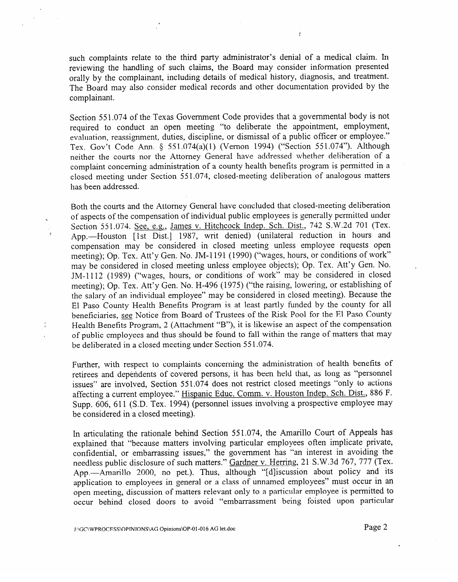such complaints relate to the third party administrator's denial of a medical claim. In reviewing the handling of such claims, the Board may consider information presented orally by the complainant, including details of medical history, diagnosis, and treatment. The Board may also consider medical records and other documentation provided by the complainant.

 $\frac{1}{2}$ 

Section 551.074 of the Texas Government Code provides that a governmental body is not required to conduct an open meeting "to deliberate the appointment, employment, evaluation, reassignment, duties, discipline, or dismissal of a public officer or employee." Tex. Gov't Code Ann. § 551.074(a)(1) (Vernon 1994) ("Section 551.074"). Although neither the courts nor the Attorney General have addressed whether deliberation of a complaint concerning administration of a county health benefits program is permitted in a closed meeting under Section 551.074, closed-meeting deliberation of analogous matters has been addressed.

Both the courts and the Attorney General have concluded that closed-meeting deliberation of aspects of the compensation of individual public employees is generally permitted under of aspects of the compensation of individual public employees is generally permitted under Section 551.074. <u>See, e.g., James v. Hitchcock Indep. Sen. Dist.</u>, 742 S.W.2d 701 (Tex. App.—Houston [1st Dist.] 1987, writ denied) (unilateral reduction in hours and compensation may be considered in closed meeting unless employee requests open meeting); Op. Tex. Att'y Gen. No. JM-1191 (1990) ("wages, hours, or conditions of work" may be considered in closed meeting unless employee objects); Op. Tex. Att'y Gen. No. JM-1112 (1989) ("wages, hours, or conditions of work" may be considered in closed meeting); Op. Tex. Att'y Gen. No. H-496 (1975) ("the raising, lowering, or establishing of the salary of an individual employee" may be considered in closed meeting). Because the El Paso County Health Benefits Program is at least partly funded by the county for all beneficiaries, see Notice from Board of Trustees of the Risk Pool for the El Paso County Health Benefits Program, 2 (Attachment "B"), it is likewise an aspect of the compensation of public employees and thus should be found to fall within the range of matters that may of public employees and thus should be found to fall within the range of matters that  $\frac{1}{2}$ be deliberated in a closed meeting under Section 55 1.074.

Further, with respect to complaints concerning the administration of health benefits of retirees and dependents of covered persons, it has been held that, as long as "personnel issues" are involved, Section 551.074 does not restrict closed meetings "only to actions affecting a current employee." Hispanic Educ. Comm. v. Houston Indep. Sch. Dist., 886 F. affecting a current employee. <u>Eleganical community community</u>  $S_{\text{infinite}}$  is the considered in a closed meeting) be considered in a closed meeting).

In articulating the rationale behind Section 551.074, the Amarillo Court of Appeals has explained that "because matters involving particular employees often implicate private, confidential, or embarrassing issues," the government has "an interest in avoiding the needless public disclosure of such matters." Gardner v. Herring, 21 S.W.3d 767, 777 (Tex. App.—Amarillo 2000, no pet.). Thus, although " [d] iscussion about policy and its application to employees in general or a class of unnamed employees" must occur in an open meeting, discussion of matters relevant only to a particular employee is permitted to occur behind closed doors to avoid "embarrassment being foisted upon particular

 $\frac{\sqrt{2}}{2}$ 

,